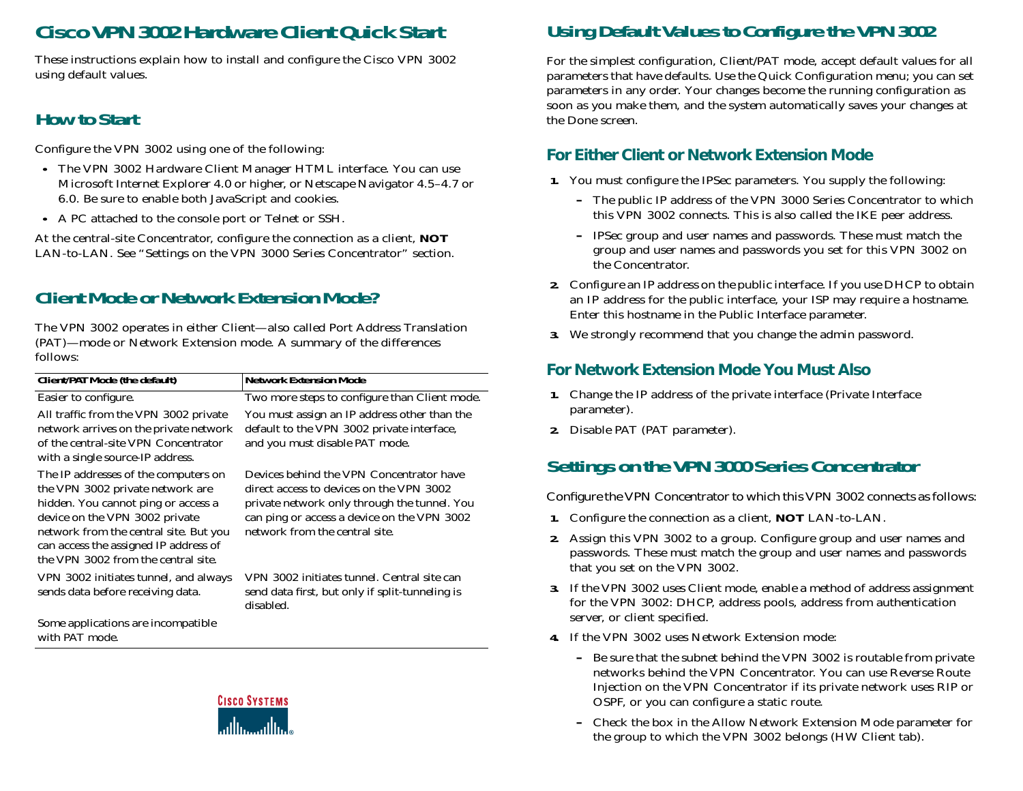# **Cisco VPN 3002 Hardware Client Quick Start**

These instructions explain how to install and configure the Cisco VPN 3002 using default values.

#### **How to Start**

Configure the VPN 3002 using one of the following:

- **•** The VPN 3002 Hardware Client Manager HTML interface. You can use Microsoft Internet Explorer 4.0 or higher, or Netscape Navigator 4.5–4.7 or 6.0. Be sure to enable both JavaScript and cookies.
- **•** A PC attached to the console port *or* Telnet *or* SSH.

At the central-site Concentrator, configure the connection as a client*, NOT* LAN-to-LAN*.* See "Settings on the VPN 3000 Series Concentrator*"* section.

# **Client Mode or Network Extension Mode?**

The VPN 3002 operates in either Client—also called Port Address Translation (PAT)—mode or Network Extension mode. A summary of the differences follows:

| Client/PAT Mode (the default)                                                                                                                                                                                                                                               | <b>Network Extension Mode</b>                                                                                                                                                                                         |
|-----------------------------------------------------------------------------------------------------------------------------------------------------------------------------------------------------------------------------------------------------------------------------|-----------------------------------------------------------------------------------------------------------------------------------------------------------------------------------------------------------------------|
| Easier to configure.                                                                                                                                                                                                                                                        | Two more steps to configure than Client mode.                                                                                                                                                                         |
| All traffic from the VPN 3002 private<br>network arrives on the private network<br>of the central-site VPN Concentrator<br>with a single source-IP address.                                                                                                                 | You must assign an IP address other than the<br>default to the VPN 3002 private interface,<br>and you must disable PAT mode.                                                                                          |
| The IP addresses of the computers on<br>the VPN 3002 private network are<br>hidden. You cannot ping or access a<br>device on the VPN 3002 private<br>network from the central site. But you<br>can access the assigned IP address of<br>the VPN 3002 from the central site. | Devices behind the VPN Concentrator have<br>direct access to devices on the VPN 3002<br>private network only through the tunnel. You<br>can ping or access a device on the VPN 3002<br>network from the central site. |
| VPN 3002 initiates tunnel, and always<br>sends data before receiving data.                                                                                                                                                                                                  | VPN 3002 initiates tunnel. Central site can<br>send data first, but only if split-tunneling is<br>disabled.                                                                                                           |
| Some applications are incompatible<br>with PAT mode.                                                                                                                                                                                                                        |                                                                                                                                                                                                                       |



## **Using Default Values to Configure the VPN 3002**

For the simplest configuration, Client/PAT mode, accep<sup>t</sup> default values for all parameters that have defaults. Use the Quick Configuration menu; you can set parameters in any order. Your changes become the running configuration as soon as you make them, and the system automatically saves your changes at the Done screen.

#### **For Either Client or Network Extension Mode**

- **1.** You must configure the IPSec parameters. You supply the following:
	- **–** The public IP address of the VPN 3000 Series Concentrator to which this VPN 3002 connects. This is also called the IKE peer address.
	- **–** IPSec group and user names and passwords. These must match the group and user names and passwords you set for this VPN 3002 on the Concentrator.
- **2.** Configure an IP address on the public interface. *If you use DHCP to obtain an IP address for the public interface,* your ISP may require a hostname. Enter this hostname in the Public Interface parameter.
- **3.** We strongly recommend that you change the admin password.

#### **For Network Extension Mode You Must Also**

- **1.** Change the IP address of the private interface (Private Interface parameter).
- **2.** Disable PAT (PAT parameter).

## **Settings on the VPN 3000 Series Concentrator**

Configure the VPN Concentrator to which this VPN 3002 connects as follows:

- **1.** Configure the connection as a client, *NOT* LAN-to-LAN.
- **2.** Assign this VPN 3002 to a group. Configure group and user names and passwords. These must match the group and user names and passwords that you set on the VPN 3002.
- **3.** If the VPN 3002 uses Client mode, enable <sup>a</sup> method of address assignment for the VPN 3002: DHCP, address pools, address from authentication server, or client specified.
- **4.** If the VPN 3002 uses Network Extension mode:
	- **–** Be sure that the subnet behind the VPN 3002 is routable from private networks behind the VPN Concentrator. You can use Reverse RouteInjection on the VPN Concentrator if its private network uses RIP or OSPF, or you can configure a static route.
	- **–** Check the box in the Allow Network Extension Mode parameter for the group to which the VPN 3002 belongs (HW Client tab).